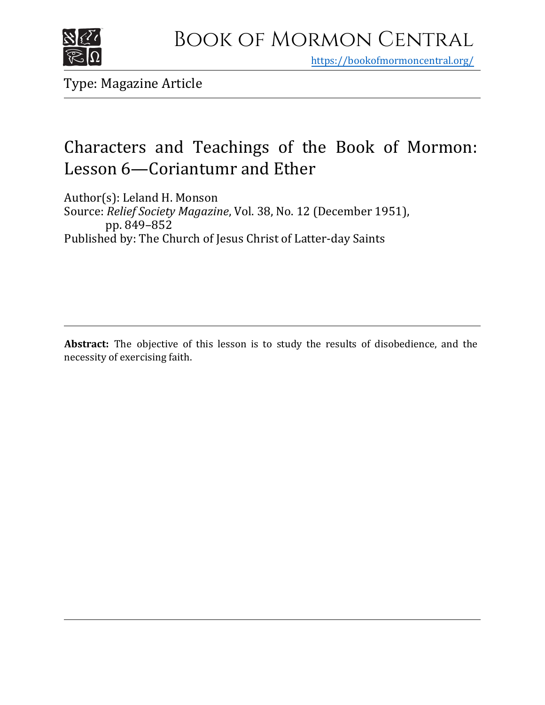

https[://bookofmormoncentral.org/](http://bookofmormoncentral.org/)

Type: Magazine Article

# Characters and Teachings of the Book of Mormon: Lesson 6—Coriantumr and Ether

Author(s): Leland H. Monson Source: *Relief Society Magazine*, Vol. 38, No. 12 (December 1951), pp. 849–852 Published by: The Church of Jesus Christ of Latter-day Saints

**Abstract:** The objective of this lesson is to study the results of disobedience, and the necessity of exercising faith.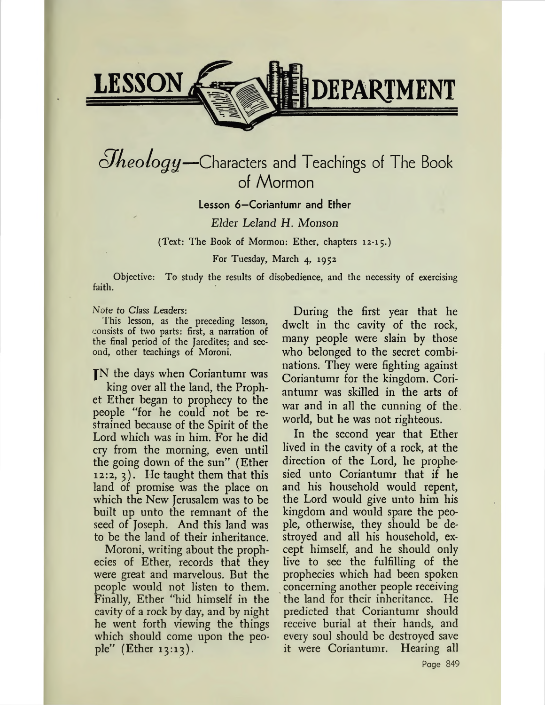

# *¿Jkeology—*Characters and Teachings of The Book of Mormon

Lesson 6—Coriantumr and Ether

*Elder Leland H. Monson*

(Text: The Book of Mormon: Ether, chapters 12-15.)

For Tuesday, March 4, 1952

Objective: To study the results of disobedience, and the necessity of exercising faith.

*Note to Class Leaders:*

This lesson, as the preceding lesson, consists of two parts: first, a narration of the final period of the Jaredites; and second, other teachings of Moroni.

fN the days when Coriantumr was

king over all the land, the Prophet Ether began to prophecy to the people "for he could not be restrained because of the Spirit of the Lord which was in him. For he did cry from the morning, even until the going down of the sun" (Ether 12:2, 3). He taught them that this land of promise was the place on which the New Jerusalem was to be built up unto the remnant of the seed of Joseph. And this land was to be the land of their inheritance.

Moroni, writing about the prophecies of Ether, records that they were great and marvelous. But the people would not listen to them. Finally, Ether "hid himself in the cavity of a rock by day, and by night he went forth viewing the things which should come upon the people" (Ether 13:13).

During the first year that he dwelt in the cavity of the rock, many people were slain by those who belonged to the secret combinations. They were fighting against Coriantumr for the kingdom. Coriantumr was skilled in the arts of war and in all the cunning of the. world, but he was not righteous.

In the second year that Ether lived in the cavity of a rock, at the direction of the Lord, he prophesied unto Coriantumr that if he and his household would repent, the Lord would give unto him his kingdom and would spare the people, otherwise, they should be destroyed and all his household, except himself, and he should only live to see the fulfilling of the prophecies which had been spoken concerning another people receiving the land for their inheritance. He predicted that Coriantumr should receive burial at their hands, and every soul should be destroyed save it were Coriantumr. Hearing all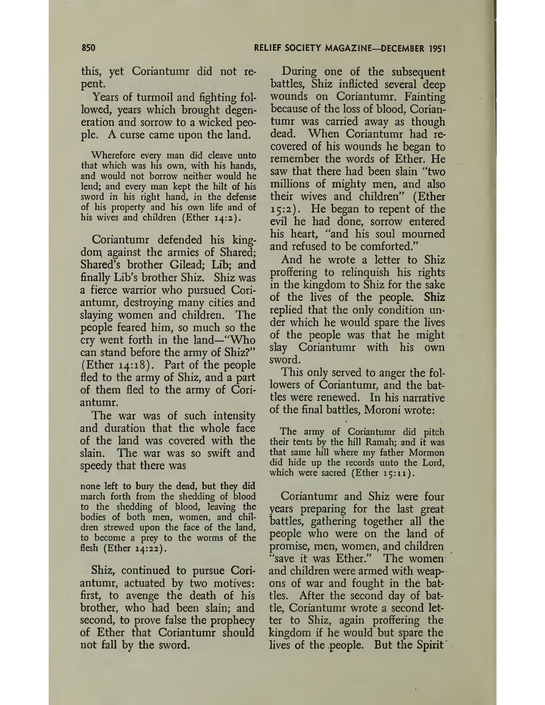this, yet Coriantumr did not repent.

Years of turmoil and fighting followed, years which brought degeneration and sorrow to a wicked people. A curse came upon the land.

Wherefore every man did cleave unto that which was his own, with his hands, and would not borrow neither would he lend; and every man kept the hilt of his sword in his right hand, in the defense of his property and his own life and of his wives and children (Ether 14:2).

Coriantumr defended his kingdom against the armies of Shared; Shared's brother Gilead; Lib; and finally Lib's brother Shiz. Shiz was a fierce warrior who pursued Coriantumr, destroying many cities and slaying women and children. The people feared him, so much so the cry went forth in the land—"Who can stand before the army of Shiz?" (Ether 14:18). Part of the people fled to the army of Shiz, and a part of them fled to the army of Coriantumr.

The war was of such intensity and duration that the whole face of the land was covered with the slain. The war was so swift and speedy that there was

none left to bury the dead, but they did march forth from the shedding of blood to the shedding of blood, leaving the bodies of both men, women, and children strewed upon the face of the land, to become a prey to the worms of the flesh (Ether 14:22).

Shiz, continued to pursue Coriantumr, actuated by two motives: first, to avenge the death of his brother, who had been slain; and second, to prove false the prophecy of Ether that Coriantumr should not fall by the sword.

During one of the subsequent battles, Shiz inflicted several deep wounds on Coriantumr. Fainting because of the loss of blood, Coriantumr was carried away as though dead. When Coriantumr had recovered of his wounds he began to remember the words of Ether. He saw that there had been slain "two millions of mighty men, and also their wives and children" (Ether 15:2). He began to repent of the evil he had done, sorrow entered his heart, "and his soul mourned and refused to be comforted."

And he wrote a letter to Shiz proffering to relinquish his rights in the kingdom to Shiz for the sake of the lives of the people. Shiz replied that the only condition under which he would spare the lives of the people was that he might slay Coriantumr with his own sword.

This only served to anger the followers of Coriantumr, and the battles were renewed. In his narrative of the final battles, Moroni wrote:

The army of Coriantumr did pitch their tents by the hill Ramah; and it was that same hill where my father Mormon did hide up the records unto the Lord, which were sacred (Ether 15:11).

Coriantumr and Shiz were four years preparing for the last great battles, gathering together all the people who were on the land of promise, men, women, and children "save it was Ether." The women and children were armed with weapons of war and fought in the battles. After the second day of battle, Coriantumr wrote a second letter to Shiz, again proffering the kingdom if he would but spare the lives of the .people. But the Spirit '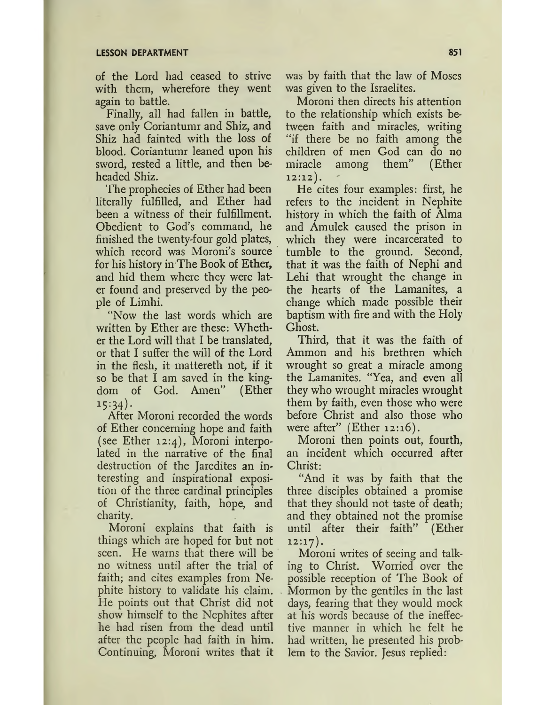#### **LESSON DEPARTMENT 851**

of the Lord had ceased to strive with them, wherefore they went again to battle.

Finally, all had fallen in battle, save only Coriantumr and Shiz, and Shiz had fainted with the loss of blood. Coriantumr leaned upon his sword, rested a little, and then beheaded Shiz.

The prophecies of Ether had been literally fulfilled, and Ether had been a witness of their fulfillment. Obedient to God's command, he finished the twenty-four gold plates, which record was Moroni's source for his history in The Book of Ether, and hid them where they were later found and preserved by the people of Limhi.

"Now the last words which are written by Ether are these: Whether the Lord will that I be translated, or that I suffer the will of the Lord in the flesh, it mattereth not, if it so be that I am saved in the kingdom of God. Amen" (Ether  $15:34$ ).

After Moroni recorded the words of Ether concerning hope and faith (see Ether 12:4), Moroni interpolated in the narrative of the final destruction of the Jaredites an interesting and inspirational exposition of the three cardinal principles of Christianity, faith, hope, and charity.

Moroni explains that faith is things which are hoped for but not seen. He warns that there will be no witness until after the trial of faith; and cites examples from Nephite history to validate his claim. He points out that Christ did not show himself to the Nephites after he had risen from the dead until after the people had faith in him. Continuing, Moroni writes that it

was by faith that the law of Moses was given to the Israelites.

Moroni then directs his attention to the relationship which exists between faith and miracles, writing "if there be no faith among the children of men God can do no miracle among them" (Ether 12:12).

He cites four examples: first, he refers to the incident in Nephite history in which the faith of Alma and Amulek caused the prison in which they were incarcerated to tumble to the ground. Second, that it was the faith of Nephi and Lehi that wrought the change in the hearts of the Lamanites, a change which made possible their baptism with fire and with the Holy Ghost.

Third, that it was the faith of Ammon and his brethren which wrought so great a miracle among the Lamanites. "Yea, and even all they who wrought miracles wrought them by faith, even those who were before Christ and also those who were after"  $(Ether 12:16)$ .

Moroni then points out, fourth, an incident which occurred after Christ:

"And it was by faith that the three disciples obtained a promise that they should not taste of death; and they obtained not the promise until after their faith" (Ether 12:17).

Moroni writes of seeing and talking to Christ. Worried over the possible reception of The Book of Mormon by the gentiles in the last days, fearing that they would mock at his words because of the ineffective manner in which he felt he had written, he presented his problem to the Savior. Jesus replied: